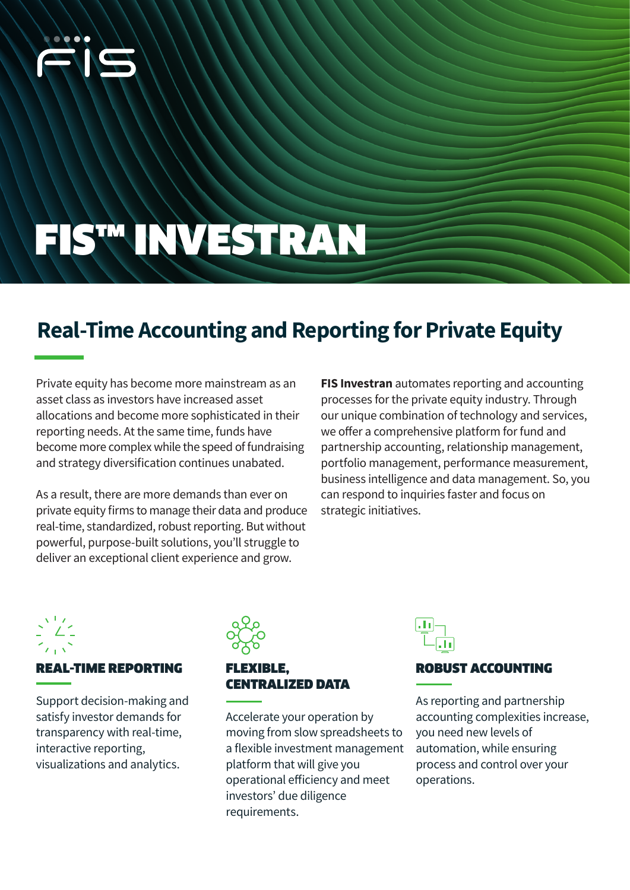

# FIS™ INVESTRAN

# **Real-Time Accounting and Reporting for Private Equity**

Private equity has become more mainstream as an asset class as investors have increased asset allocations and become more sophisticated in their reporting needs. At the same time, funds have become more complex while the speed of fundraising and strategy diversification continues unabated.

As a result, there are more demands than ever on private equity firms to manage their data and produce real-time, standardized, robust reporting. But without powerful, purpose-built solutions, you'll struggle to deliver an exceptional client experience and grow.

**FIS Investran** automates reporting and accounting processes for the private equity industry. Through our unique combination of technology and services, we offer a comprehensive platform for fund and partnership accounting, relationship management, portfolio management, performance measurement, business intelligence and data management. So, you can respond to inquiries faster and focus on strategic initiatives.



#### REAL-TIME REPORTING

Support decision-making and satisfy investor demands for transparency with real-time, interactive reporting, visualizations and analytics.



#### EXIBLE. CENTRALIZED DATA

Accelerate your operation by moving from slow spreadsheets to a flexible investment management platform that will give you operational efficiency and meet investors' due diligence requirements.



#### ROBUST ACCOUNTING

As reporting and partnership accounting complexities increase, you need new levels of automation, while ensuring process and control over your operations.